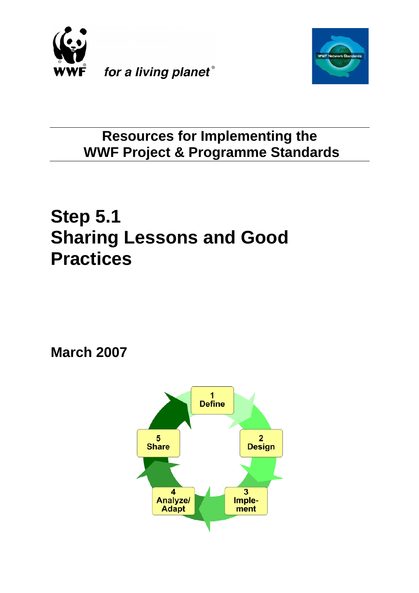



# **Resources for Implementing the WWF Project & Programme Standards**

# **Step 5.1 Sharing Lessons and Good Practices**

**March 2007**

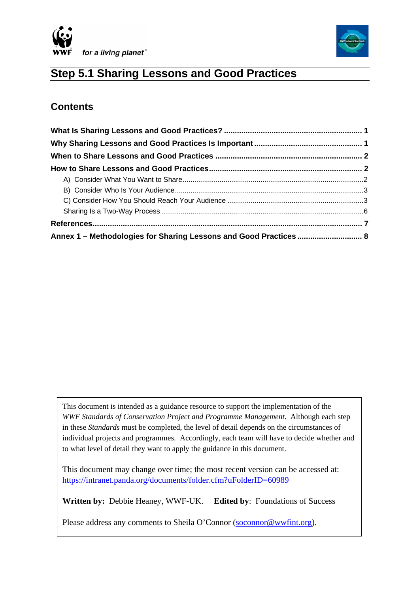



# **Step 5.1 Sharing Lessons and Good Practices**

# **Contents**

| Annex 1 - Methodologies for Sharing Lessons and Good Practices  8 |  |
|-------------------------------------------------------------------|--|

This document is intended as a guidance resource to support the implementation of the *WWF Standards of Conservation Project and Programme Management.* Although each step in these *Standards* must be completed, the level of detail depends on the circumstances of individual projects and programmes. Accordingly, each team will have to decide whether and to what level of detail they want to apply the guidance in this document.

This document may change over time; the most recent version can be accessed at: <https://intranet.panda.org/documents/folder.cfm?uFolderID=60989>

**Written by:** Debbie Heaney, WWF-UK. **Edited by**: Foundations of Success

Please address any comments to Sheila O'Connor ([soconnor@wwfint.org\)](mailto:soconnor@wwfint.org).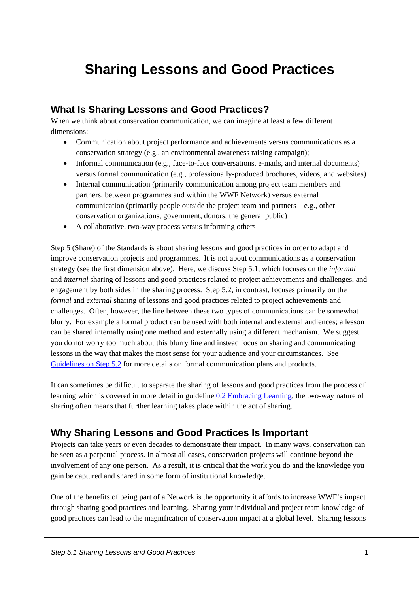# <span id="page-2-0"></span>**Sharing Lessons and Good Practices**

# **What Is Sharing Lessons and Good Practices?**

When we think about conservation communication, we can imagine at least a few different dimensions:

- Communication about project performance and achievements versus communications as a conservation strategy (e.g., an environmental awareness raising campaign);
- Informal communication (e.g., face-to-face conversations, e-mails, and internal documents) versus formal communication (e.g., professionally-produced brochures, videos, and websites)
- Internal communication (primarily communication among project team members and partners, between programmes and within the WWF Network) versus external communication (primarily people outside the project team and partners – e.g., other conservation organizations, government, donors, the general public)
- A collaborative, two-way process versus informing others

Step 5 (Share) of the Standards is about sharing lessons and good practices in order to adapt and improve conservation projects and programmes. It is not about communications as a conservation strategy (see the first dimension above). Here, we discuss Step 5.1, which focuses on the *informal* and *internal* sharing of lessons and good practices related to project achievements and challenges, and engagement by both sides in the sharing process. Step 5.2, in contrast, focuses primarily on the *formal* and *external* sharing of lessons and good practices related to project achievements and challenges. Often, however, the line between these two types of communications can be somewhat blurry. For example a formal product can be used with both internal and external audiences; a lesson can be shared internally using one method and externally using a different mechanism. We suggest you do not worry too much about this blurry line and instead focus on sharing and communicating lessons in the way that makes the most sense for your audience and your circumstances. See [Guidelines on Step 5.2](https://intranet.panda.org/documents/folder.cfm?uFolderID=60990) for more details on formal communication plans and products.

It can sometimes be difficult to separate the sharing of lessons and good practices from the process of learning which is covered in more detail in guideline [0.2 Embracing Learning](https://intranet.panda.org/data/downloads/76427/principleembracinglearning_pu6i.doc); the two-way nature of sharing often means that further learning takes place within the act of sharing.

# **Why Sharing Lessons and Good Practices Is Important**

Projects can take years or even decades to demonstrate their impact. In many ways, conservation can be seen as a perpetual process. In almost all cases, conservation projects will continue beyond the involvement of any one person. As a result, it is critical that the work you do and the knowledge you gain be captured and shared in some form of institutional knowledge.

One of the benefits of being part of a Network is the opportunity it affords to increase WWF's impact through sharing good practices and learning. Sharing your individual and project team knowledge of good practices can lead to the magnification of conservation impact at a global level. Sharing lessons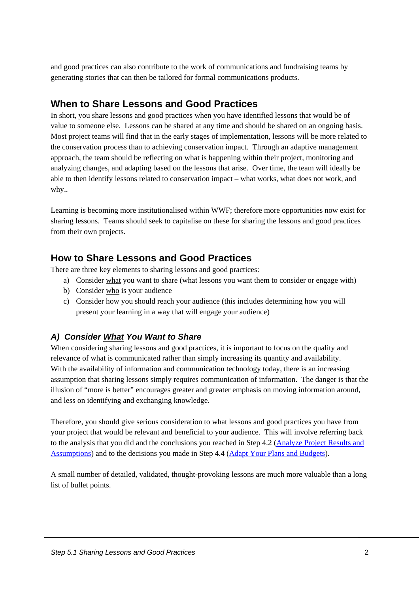<span id="page-3-0"></span>and good practices can also contribute to the work of communications and fundraising teams by generating stories that can then be tailored for formal communications products.

# **When to Share Lessons and Good Practices**

In short, you share lessons and good practices when you have identified lessons that would be of value to someone else. Lessons can be shared at any time and should be shared on an ongoing basis. Most project teams will find that in the early stages of implementation, lessons will be more related to the conservation process than to achieving conservation impact. Through an adaptive management approach, the team should be reflecting on what is happening within their project, monitoring and analyzing changes, and adapting based on the lessons that arise. Over time, the team will ideally be able to then identify lessons related to conservation impact – what works, what does not work, and why..

Learning is becoming more institutionalised within WWF; therefore more opportunities now exist for sharing lessons. Teams should seek to capitalise on these for sharing the lessons and good practices from their own projects.

## **How to Share Lessons and Good Practices**

There are three key elements to sharing lessons and good practices:

- a) Consider what you want to share (what lessons you want them to consider or engage with)
- b) Consider who is your audience
- c) Consider how you should reach your audience (this includes determining how you will present your learning in a way that will engage your audience)

### *A) Consider What You Want to Share*

When considering sharing lessons and good practices, it is important to focus on the quality and relevance of what is communicated rather than simply increasing its quantity and availability. With the availability of information and communication technology today, there is an increasing assumption that sharing lessons simply requires communication of information. The danger is that the illusion of "more is better" encourages greater and greater emphasis on moving information around, and less on identifying and exchanging knowledge.

Therefore, you should give serious consideration to what lessons and good practices you have from your project that would be relevant and beneficial to your audience. This will involve referring back to the analysis that you did and the conclusions you reached in Step 4.2 ([Analyze Project Results and](https://intranet.panda.org/data/downloads/60986/42analyseresults20060517.pdf)  [Assumptions](https://intranet.panda.org/data/downloads/60986/42analyseresults20060517.pdf)) and to the decisions you made in Step 4.4 [\(Adapt Your Plans and Budgets\)](https://intranet.panda.org/data/downloads/60988/44adaptyourplan100806.doc).

A small number of detailed, validated, thought-provoking lessons are much more valuable than a long list of bullet points.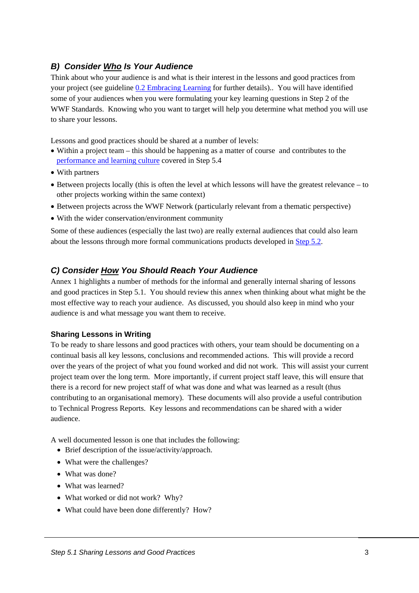#### <span id="page-4-0"></span>*B) Consider Who Is Your Audience*

Think about who your audience is and what is their interest in the lessons and good practices from your project (see guideline [0.2 Embracing Learning](https://intranet.panda.org/data/downloads/76427/principleembracinglearning_pu6i.doc) for further details).. You will have identified some of your audiences when you were formulating your key learning questions in Step 2 of the WWF Standards. Knowing who you want to target will help you determine what method you will use to share your lessons.

Lessons and good practices should be shared at a number of levels:

- Within a project team this should be happening as a matter of course and contributes to the [performance and learning culture](https://intranet.panda.org/data/downloads/60992/54culture1.doc) covered in Step 5.4
- With partners
- Between projects locally (this is often the level at which lessons will have the greatest relevance to other projects working within the same context)
- Between projects across the WWF Network (particularly relevant from a thematic perspective)
- With the wider conservation/environment community

Some of these audiences (especially the last two) are really external audiences that could also learn about the lessons through more formal communications products developed in [Step 5.2.](https://intranet.panda.org/documents/folder.cfm?uFolderID=60990)

#### *C) Consider How You Should Reach Your Audience*

Annex 1 highlights a number of methods for the informal and generally internal sharing of lessons and good practices in Step 5.1. You should review this annex when thinking about what might be the most effective way to reach your audience. As discussed, you should also keep in mind who your audience is and what message you want them to receive.

#### **Sharing Lessons in Writing**

To be ready to share lessons and good practices with others, your team should be documenting on a continual basis all key lessons, conclusions and recommended actions. This will provide a record over the years of the project of what you found worked and did not work. This will assist your current project team over the long term. More importantly, if current project staff leave, this will ensure that there is a record for new project staff of what was done and what was learned as a result (thus contributing to an organisational memory). These documents will also provide a useful contribution to Technical Progress Reports. Key lessons and recommendations can be shared with a wider audience.

A well documented lesson is one that includes the following:

- Brief description of the issue/activity/approach.
- What were the challenges?
- What was done?
- What was learned?
- What worked or did not work? Why?
- What could have been done differently? How?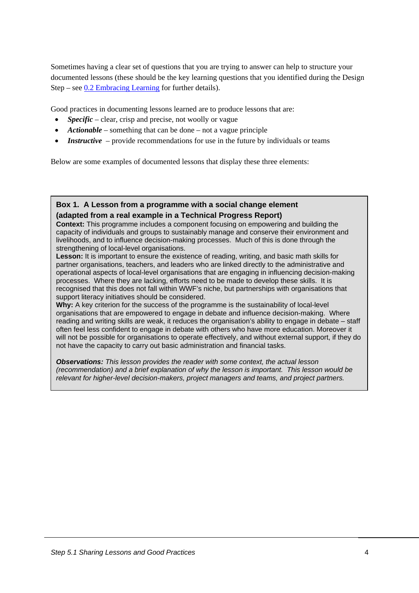Sometimes having a clear set of questions that you are trying to answer can help to structure your documented lessons (these should be the key learning questions that you identified during the Design Step – see  $0.2$  Embracing Learning for further details).

Good practices in documenting lessons learned are to produce lessons that are:

- *Specific* clear, crisp and precise, not woolly or vague
- *Actionable* something that can be done not a vague principle
- *Instructive* provide recommendations for use in the future by individuals or teams

Below are some examples of documented lessons that display these three elements:

#### **Box 1. A Lesson from a programme with a social change element (adapted from a real example in a Technical Progress Report)**

**Context:** This programme includes a component focusing on empowering and building the capacity of individuals and groups to sustainably manage and conserve their environment and livelihoods, and to influence decision-making processes. Much of this is done through the strengthening of local-level organisations.

**Lesson:** It is important to ensure the existence of reading, writing, and basic math skills for partner organisations, teachers, and leaders who are linked directly to the administrative and operational aspects of local-level organisations that are engaging in influencing decision-making processes. Where they are lacking, efforts need to be made to develop these skills. It is recognised that this does not fall within WWF's niche, but partnerships with organisations that support literacy initiatives should be considered.

**Why:** A key criterion for the success of the programme is the sustainability of local-level organisations that are empowered to engage in debate and influence decision-making. Where reading and writing skills are weak, it reduces the organisation's ability to engage in debate – staff often feel less confident to engage in debate with others who have more education. Moreover it will not be possible for organisations to operate effectively, and without external support, if they do not have the capacity to carry out basic administration and financial tasks.

*Observations: This lesson provides the reader with some context, the actual lesson (recommendation) and a brief explanation of why the lesson is important. This lesson would be relevant for higher-level decision-makers, project managers and teams, and project partners.*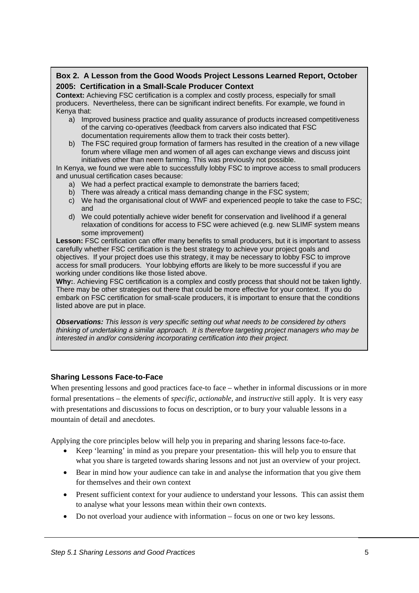#### **Box 2. A Lesson from the Good Woods Project Lessons Learned Report, October 2005: Certification in a Small-Scale Producer Context**

**Context:** Achieving FSC certification is a complex and costly process, especially for small producers. Nevertheless, there can be significant indirect benefits. For example, we found in Kenya that:

- a) Improved business practice and quality assurance of products increased competitiveness of the carving co-operatives (feedback from carvers also indicated that FSC documentation requirements allow them to track their costs better).
- b) The FSC required group formation of farmers has resulted in the creation of a new village forum where village men and women of all ages can exchange views and discuss joint initiatives other than neem farming. This was previously not possible.

In Kenya, we found we were able to successfully lobby FSC to improve access to small producers and unusual certification cases because:

- a) We had a perfect practical example to demonstrate the barriers faced;
- b) There was already a critical mass demanding change in the FSC system;
- c) We had the organisational clout of WWF and experienced people to take the case to FSC; and
- d) We could potentially achieve wider benefit for conservation and livelihood if a general relaxation of conditions for access to FSC were achieved (e.g. new SLIMF system means some improvement)

**Lesson:** FSC certification can offer many benefits to small producers, but it is important to assess carefully whether FSC certification is the best strategy to achieve your project goals and objectives. If your project does use this strategy, it may be necessary to lobby FSC to improve access for small producers. Your lobbying efforts are likely to be more successful if you are working under conditions like those listed above.

**Why:**. Achieving FSC certification is a complex and costly process that should not be taken lightly. There may be other strategies out there that could be more effective for your context. If you do embark on FSC certification for small-scale producers, it is important to ensure that the conditions listed above are put in place.

*Observations: This lesson is very specific setting out what needs to be considered by others thinking of undertaking a similar approach. It is therefore targeting project managers who may be interested in and/or considering incorporating certification into their project.* 

#### **Sharing Lessons Face-to-Face**

When presenting lessons and good practices face-to face – whether in informal discussions or in more formal presentations – the elements of *specific, actionable,* and *instructive* still apply. It is very easy with presentations and discussions to focus on description, or to bury your valuable lessons in a mountain of detail and anecdotes.

Applying the core principles below will help you in preparing and sharing lessons face-to-face.

- Keep 'learning' in mind as you prepare your presentation- this will help you to ensure that what you share is targeted towards sharing lessons and not just an overview of your project.
- Bear in mind how your audience can take in and analyse the information that you give them for themselves and their own context
- Present sufficient context for your audience to understand your lessons. This can assist them to analyse what your lessons mean within their own contexts.
- Do not overload your audience with information focus on one or two key lessons.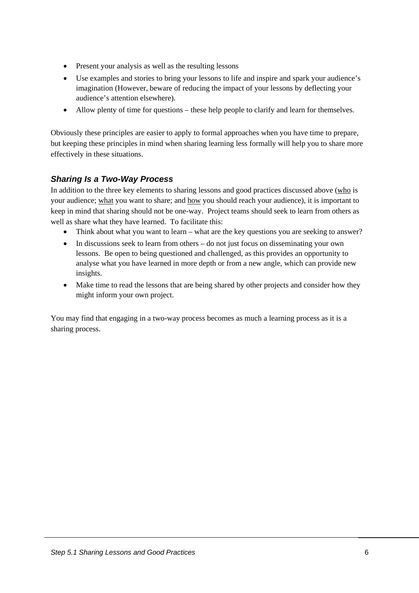- <span id="page-7-0"></span>• Present your analysis as well as the resulting lessons
- Use examples and stories to bring your lessons to life and inspire and spark your audience's imagination (However, beware of reducing the impact of your lessons by deflecting your audience's attention elsewhere).
- Allow plenty of time for questions these help people to clarify and learn for themselves.

Obviously these principles are easier to apply to formal approaches when you have time to prepare, but keeping these principles in mind when sharing learning less formally will help you to share more effectively in these situations.

## *Sharing Is a Two-Way Process*

In addition to the three key elements to sharing lessons and good practices discussed above (who is your audience; what you want to share; and how you should reach your audience), it is important to keep in mind that sharing should not be one-way. Project teams should seek to learn from others as well as share what they have learned. To facilitate this:

- Think about what you want to learn what are the key questions you are seeking to answer?
- In discussions seek to learn from others do not just focus on disseminating your own lessons. Be open to being questioned and challenged, as this provides an opportunity to analyse what you have learned in more depth or from a new angle, which can provide new insights.
- Make time to read the lessons that are being shared by other projects and consider how they might inform your own project.

You may find that engaging in a two-way process becomes as much a learning process as it is a sharing process.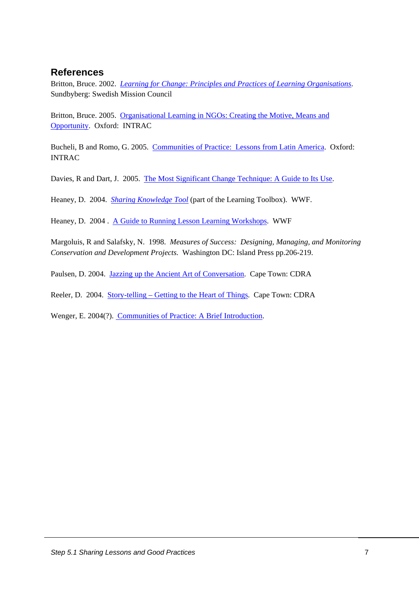#### <span id="page-8-0"></span>**References**

Britton, Bruce. 2002. *[Learning for Change: Principles and Practices of Learning Organisations](http://www.bond.org.uk/pubs/lte/learningforchange.pdf)*. Sundbyberg: Swedish Mission Council

Britton, Bruce. 2005. [Organisational Learning in NGOs: Creating the Motive, Means and](http://www.intrac.org/pages/PraxisPaper3.html)  [Opportunity.](http://www.intrac.org/pages/PraxisPaper3.html) Oxford: INTRAC

Bucheli, B and Romo, G. 2005. [Communities of Practice: Lessons from Latin America.](http://www.intrac.org/pages/PraxisNote16.html) Oxford: INTRAC

Davies, R and Dart, J. 2005. [The Most Significant Change Technique: A Guide to Its Use.](http://www.mande.co.uk/docs/MSCGuide.htm)

Heaney, D. 2004. *[Sharing Knowledge Tool](https://intranet.panda.org/data/downloads/50443/sharingknowledgelearningtooldraft.doc)* (part of the Learning Toolbox). WWF.

Heaney, D. 2004 . [A Guide to Running Lesson Learning Workshops](https://intranet.panda.org/data/downloads/50443/guidelineforlessonlearninginwwfv4.doc). WWF

Margoluis, R and Salafsky, N. 1998. *Measures of Success: Designing, Managing, and Monitoring Conservation and Development Projects.* Washington DC: Island Press pp.206-219.

Paulsen, D. 2004. [Jazzing up the Ancient Art of Conversation.](http://www.cdra.org.za/nuggets/Jazzing up conversation by Desiree Paulse - September 2004 Nugget.htm) Cape Town: CDRA

Reeler, D. 2004. [Story-telling – Getting to the Heart of Things](http://www.cdra.org.za/nuggets/Storytelling - getting to the heart of things by Doug Reeler - March 2004 Nugget.htm). Cape Town: CDRA

Wenger, E. 2004(?). [Communities of Practice: A Brief Introduction.](http://www.ewenger.com/theory/index.htm)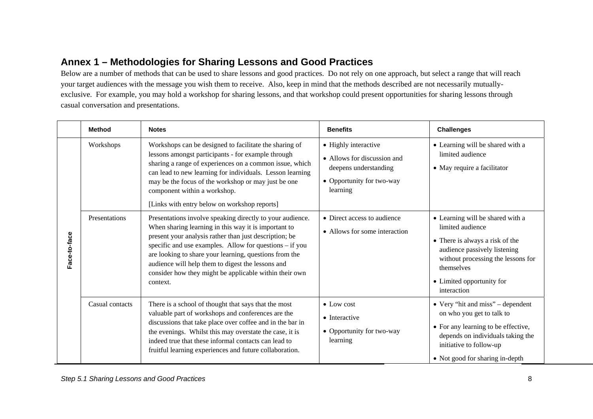# **Annex 1 – Methodologies for Sharing Lessons and Good Practices**

Below are a number of methods that can be used to share lessons and good practices. Do not rely on one approach, but select a range that will reach your target audiences with the message you wish them to receive. Also, keep in mind that the methods described are not necessarily mutuallyexclusive. For example, you may hold a workshop for sharing lessons, and that workshop could present opportunities for sharing lessons through casual conversation and presentations.

<span id="page-9-0"></span>

|              | <b>Method</b>   | <b>Notes</b>                                                                                                                                                                                                                                                                                                                                                                                                                | <b>Benefits</b>                                                                                                       | <b>Challenges</b>                                                                                                                                                                                                       |
|--------------|-----------------|-----------------------------------------------------------------------------------------------------------------------------------------------------------------------------------------------------------------------------------------------------------------------------------------------------------------------------------------------------------------------------------------------------------------------------|-----------------------------------------------------------------------------------------------------------------------|-------------------------------------------------------------------------------------------------------------------------------------------------------------------------------------------------------------------------|
| Face-to-face | Workshops       | Workshops can be designed to facilitate the sharing of<br>lessons amongst participants - for example through<br>sharing a range of experiences on a common issue, which<br>can lead to new learning for individuals. Lesson learning<br>may be the focus of the workshop or may just be one<br>component within a workshop.<br>[Links with entry below on workshop reports]                                                 | • Highly interactive<br>• Allows for discussion and<br>deepens understanding<br>• Opportunity for two-way<br>learning | • Learning will be shared with a<br>limited audience<br>• May require a facilitator                                                                                                                                     |
|              | Presentations   | Presentations involve speaking directly to your audience.<br>When sharing learning in this way it is important to<br>present your analysis rather than just description; be<br>specific and use examples. Allow for questions – if you<br>are looking to share your learning, questions from the<br>audience will help them to digest the lessons and<br>consider how they might be applicable within their own<br>context. | • Direct access to audience<br>• Allows for some interaction                                                          | • Learning will be shared with a<br>limited audience<br>• There is always a risk of the<br>audience passively listening<br>without processing the lessons for<br>themselves<br>• Limited opportunity for<br>interaction |
|              | Casual contacts | There is a school of thought that says that the most<br>valuable part of workshops and conferences are the<br>discussions that take place over coffee and in the bar in<br>the evenings. Whilst this may overstate the case, it is<br>indeed true that these informal contacts can lead to<br>fruitful learning experiences and future collaboration.                                                                       | $\bullet$ Low cost<br>$\bullet$ Interactive<br>• Opportunity for two-way<br>learning                                  | • Very "hit and miss" – dependent<br>on who you get to talk to<br>• For any learning to be effective,<br>depends on individuals taking the<br>initiative to follow-up<br>• Not good for sharing in-depth                |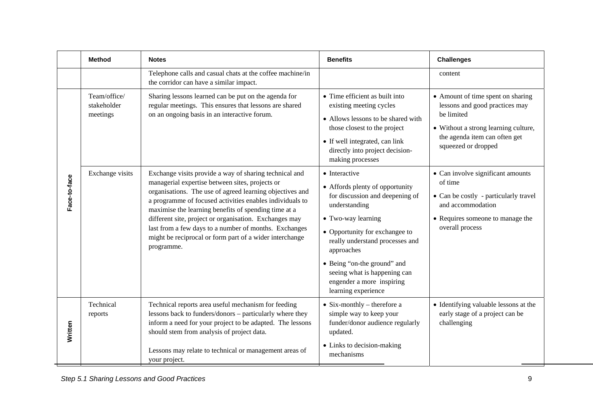|             | <b>Method</b>                           | <b>Notes</b>                                                                                                                                                                                                                                                                                                                                                                                                                                                                          | <b>Benefits</b>                                                                                                                                                                                                                                                                                                                  | <b>Challenges</b>                                                                                                                                                                 |
|-------------|-----------------------------------------|---------------------------------------------------------------------------------------------------------------------------------------------------------------------------------------------------------------------------------------------------------------------------------------------------------------------------------------------------------------------------------------------------------------------------------------------------------------------------------------|----------------------------------------------------------------------------------------------------------------------------------------------------------------------------------------------------------------------------------------------------------------------------------------------------------------------------------|-----------------------------------------------------------------------------------------------------------------------------------------------------------------------------------|
|             |                                         | Telephone calls and casual chats at the coffee machine/in<br>the corridor can have a similar impact.                                                                                                                                                                                                                                                                                                                                                                                  |                                                                                                                                                                                                                                                                                                                                  | content                                                                                                                                                                           |
|             | Team/office/<br>stakeholder<br>meetings | Sharing lessons learned can be put on the agenda for<br>regular meetings. This ensures that lessons are shared<br>on an ongoing basis in an interactive forum.                                                                                                                                                                                                                                                                                                                        | • Time efficient as built into<br>existing meeting cycles<br>• Allows lessons to be shared with<br>those closest to the project<br>• If well integrated, can link<br>directly into project decision-<br>making processes                                                                                                         | • Amount of time spent on sharing<br>lessons and good practices may<br>be limited<br>• Without a strong learning culture,<br>the agenda item can often get<br>squeezed or dropped |
| ace-to-face | Exchange visits                         | Exchange visits provide a way of sharing technical and<br>managerial expertise between sites, projects or<br>organisations. The use of agreed learning objectives and<br>a programme of focused activities enables individuals to<br>maximise the learning benefits of spending time at a<br>different site, project or organisation. Exchanges may<br>last from a few days to a number of months. Exchanges<br>might be reciprocal or form part of a wider interchange<br>programme. | • Interactive<br>• Affords plenty of opportunity<br>for discussion and deepening of<br>understanding<br>• Two-way learning<br>• Opportunity for exchangee to<br>really understand processes and<br>approaches<br>• Being "on-the ground" and<br>seeing what is happening can<br>engender a more inspiring<br>learning experience | • Can involve significant amounts<br>of time<br>• Can be costly - particularly travel<br>and accommodation<br>• Requires someone to manage the<br>overall process                 |
| Written     | Technical<br>reports                    | Technical reports area useful mechanism for feeding<br>lessons back to funders/donors - particularly where they<br>inform a need for your project to be adapted. The lessons<br>should stem from analysis of project data.                                                                                                                                                                                                                                                            | $\bullet$ Six-monthly – therefore a<br>simple way to keep your<br>funder/donor audience regularly<br>updated.                                                                                                                                                                                                                    | • Identifying valuable lessons at the<br>early stage of a project can be<br>challenging                                                                                           |
|             |                                         | Lessons may relate to technical or management areas of<br>your project.                                                                                                                                                                                                                                                                                                                                                                                                               | • Links to decision-making<br>mechanisms                                                                                                                                                                                                                                                                                         |                                                                                                                                                                                   |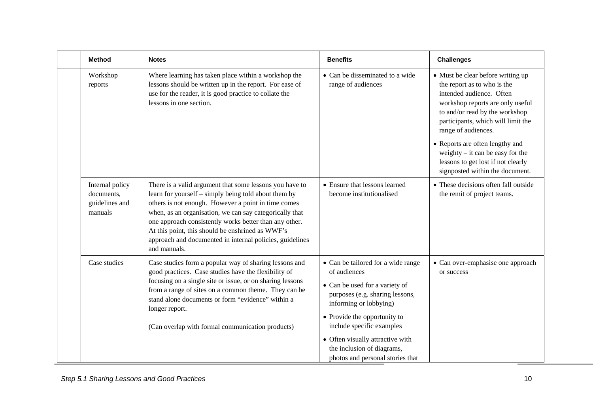| <b>Method</b>                                              | <b>Notes</b>                                                                                                                                                                                                                                                                                                                                                                                                                | <b>Benefits</b>                                                                                                                                                                                                                                                                                                      | <b>Challenges</b>                                                                                                                                                                                                                                                                                                                                                                 |
|------------------------------------------------------------|-----------------------------------------------------------------------------------------------------------------------------------------------------------------------------------------------------------------------------------------------------------------------------------------------------------------------------------------------------------------------------------------------------------------------------|----------------------------------------------------------------------------------------------------------------------------------------------------------------------------------------------------------------------------------------------------------------------------------------------------------------------|-----------------------------------------------------------------------------------------------------------------------------------------------------------------------------------------------------------------------------------------------------------------------------------------------------------------------------------------------------------------------------------|
| Workshop<br>reports                                        | Where learning has taken place within a workshop the<br>lessons should be written up in the report. For ease of<br>use for the reader, it is good practice to collate the<br>lessons in one section.                                                                                                                                                                                                                        | • Can be disseminated to a wide<br>range of audiences                                                                                                                                                                                                                                                                | • Must be clear before writing up<br>the report as to who is the<br>intended audience. Often<br>workshop reports are only useful<br>to and/or read by the workshop<br>participants, which will limit the<br>range of audiences.<br>• Reports are often lengthy and<br>weighty $-$ it can be easy for the<br>lessons to get lost if not clearly<br>signposted within the document. |
| Internal policy<br>documents,<br>guidelines and<br>manuals | There is a valid argument that some lessons you have to<br>learn for yourself – simply being told about them by<br>others is not enough. However a point in time comes<br>when, as an organisation, we can say categorically that<br>one approach consistently works better than any other.<br>At this point, this should be enshrined as WWF's<br>approach and documented in internal policies, guidelines<br>and manuals. | • Ensure that lessons learned<br>become institutionalised                                                                                                                                                                                                                                                            | • These decisions often fall outside<br>the remit of project teams.                                                                                                                                                                                                                                                                                                               |
| Case studies                                               | Case studies form a popular way of sharing lessons and<br>good practices. Case studies have the flexibility of<br>focusing on a single site or issue, or on sharing lessons<br>from a range of sites on a common theme. They can be<br>stand alone documents or form "evidence" within a<br>longer report.<br>(Can overlap with formal communication products)                                                              | • Can be tailored for a wide range<br>of audiences<br>• Can be used for a variety of<br>purposes (e.g. sharing lessons,<br>informing or lobbying)<br>• Provide the opportunity to<br>include specific examples<br>• Often visually attractive with<br>the inclusion of diagrams,<br>photos and personal stories that | • Can over-emphasise one approach<br>or success                                                                                                                                                                                                                                                                                                                                   |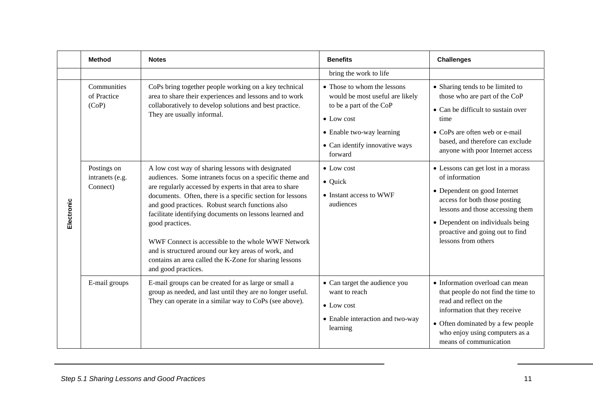|            | <b>Method</b>                              | <b>Notes</b>                                                                                                                                                                                                                                                                                                                                                                                                                                                                                                                                                         | <b>Benefits</b>                                                                                                                                                                           | <b>Challenges</b>                                                                                                                                                                                                                                       |
|------------|--------------------------------------------|----------------------------------------------------------------------------------------------------------------------------------------------------------------------------------------------------------------------------------------------------------------------------------------------------------------------------------------------------------------------------------------------------------------------------------------------------------------------------------------------------------------------------------------------------------------------|-------------------------------------------------------------------------------------------------------------------------------------------------------------------------------------------|---------------------------------------------------------------------------------------------------------------------------------------------------------------------------------------------------------------------------------------------------------|
|            |                                            |                                                                                                                                                                                                                                                                                                                                                                                                                                                                                                                                                                      | bring the work to life                                                                                                                                                                    |                                                                                                                                                                                                                                                         |
| Electronic | Communities<br>of Practice<br>(CoP)        | CoPs bring together people working on a key technical<br>area to share their experiences and lessons and to work<br>collaboratively to develop solutions and best practice.<br>They are usually informal.                                                                                                                                                                                                                                                                                                                                                            | • Those to whom the lessons<br>would be most useful are likely<br>to be a part of the CoP<br>$\bullet$ Low cost<br>• Enable two-way learning<br>• Can identify innovative ways<br>forward | • Sharing tends to be limited to<br>those who are part of the CoP<br>• Can be difficult to sustain over<br>time<br>• CoPs are often web or e-mail<br>based, and therefore can exclude<br>anyone with poor Internet access                               |
|            | Postings on<br>intranets (e.g.<br>Connect) | A low cost way of sharing lessons with designated<br>audiences. Some intranets focus on a specific theme and<br>are regularly accessed by experts in that area to share<br>documents. Often, there is a specific section for lessons<br>and good practices. Robust search functions also<br>facilitate identifying documents on lessons learned and<br>good practices.<br>WWF Connect is accessible to the whole WWF Network<br>and is structured around our key areas of work, and<br>contains an area called the K-Zone for sharing lessons<br>and good practices. | $\bullet$ Low cost<br>$\bullet$ Quick<br>• Instant access to WWF<br>audiences                                                                                                             | • Lessons can get lost in a morass<br>of information<br>• Dependent on good Internet<br>access for both those posting<br>lessons and those accessing them<br>• Dependent on individuals being<br>proactive and going out to find<br>lessons from others |
|            | E-mail groups                              | E-mail groups can be created for as large or small a<br>group as needed, and last until they are no longer useful.<br>They can operate in a similar way to CoPs (see above).                                                                                                                                                                                                                                                                                                                                                                                         | • Can target the audience you<br>want to reach<br>$\bullet$ Low cost<br>• Enable interaction and two-way<br>learning                                                                      | • Information overload can mean<br>that people do not find the time to<br>read and reflect on the<br>information that they receive<br>• Often dominated by a few people<br>who enjoy using computers as a<br>means of communication                     |